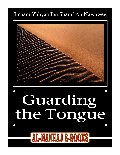## **Guarding the Tongue of Imaam An-Nawawee**  Imaam Yahyaa Ibn Sharaf An-Nawawee

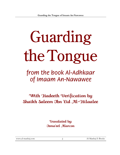# Guarding the Tongue

# from the book Al-Adhkaar of Imaam An-Nawawee

## With Hadeeth Verification by Shaikh Saleem Ibn 'Eid Al-Hilaalee

Translated by: IsmaÊeel Alarcon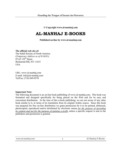**© Copyright www.al-manhaj.com** 

## **AL-MANHAJ E-BOOKS**

**Published on-line by www.al-manhaj.com**

#### **The official web site of:**

The Salafi Society of North America (*Temporary Address as of 9/16/01*):  $87-63$  125<sup>th</sup> Street Richmond Hill, NY 11415 USA

URL: www.al-manhaj.com E-mail: info@al-manhaj.com Tel/Fax: (718) 849-0378

#### **Important Note:**

The following document is an on-line book publishing of www.al-manhaj.com. This book was formatted and designed specifically for being placed on the Web and for its easy and convenient distribution. At the time of this e-book publishing, we are not aware of any other book similar to it, in terms of its translation from its original Arabic source. Since this book was prepared for free on-line distribution we grant permission for it to be printed, disbursed, photocopied, reproduced and/or distributed by electronic means *for the purpose of spreading its content and not for the purpose of gaining a profit*, unless a specific request is sent to the publishers and permission is granted.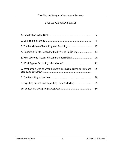#### **TABLE OF CONTENTS**

|                                                                   | 5  |
|-------------------------------------------------------------------|----|
|                                                                   | 6  |
|                                                                   | 13 |
| 4. Important Points Related to the Limits of Backbiting           | 17 |
| 5. How does one Prevent Himself from Backbiting?                  | 20 |
|                                                                   | 21 |
| 7. What should One do when he hears his Shaikh, Friend or Someone | 25 |
|                                                                   | 28 |
| 9. Explating oneself and Repenting from Backbiting                | 31 |
|                                                                   | 34 |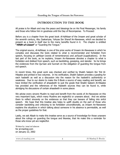#### **INTRODUCTION TO THE BOOK**

All praise is for Allaah and may the peace and blessings be on His Final Messenger, his family and those who follow him in goodness until the Day of Recompense. To Proceed:

Before you is a chapter from the great book *Al-Adhkaar* of the Imaam and great scholar of the seventh century, Abu Zaakariyaa, Yahyaa Ibn Sharaf An-Nawawee, which we decided to present as a book in itself due to the many benefits found in it. The chapter is entitled **"Hifdh-ul-Lisaan"** or "Guarding the Tongue."

The original source, AI-Adhkaar, is one of the prize works of Imaam An-Nawawee in which he compiles and discusses the texts related to what is recommended and forbidden from speech, focusing on *adhkaar* (words of remembrance) and *ad'iyyah* (supplications). In the last part of the book, as he explains, Imaam An-Nawawee devotes a chapter to what is forbidden and disliked from speech, such as backbiting, gossiping, and slander. So he brings the evidences from the Qur'aan and Sunnah on the obligation of guarding the tongue from evil speech.

In recent times, this great work was checked and verified by Shaikh Saleem Ibn 'Eid Al-Hilaalee and printed in two volumes. In his verification, Shaikh Saleem provides a grading for each hadeeth as well as a discussion into the reason for the hadeeth's authenticity or weakness. Due to our desire to make the E-Book a source of easy reading and benefit, we have limited the verification of ahaadeeth to just the grade that Shaikh Saleem Al-Hilaalee has provided and the references of the Hadeeth sources they can be found in, while abridging his discussions of certain ahaadeeth in some places

We advise every sincere Muslim to read and benefit from the words of An-Nawawee on this very important topic, which many Muslims are neglectful or unaware about. And we advise them to reflect sincerely on the evidences so that they can beware of falling into sinful speech. We hope that this treatise also helps to uplift doubts on the part of those who consider backbiting and criticizing to be forbidden unconditionally, as Imaam An-Nawawee explains the situations in which talking about someone in his absence is permissible, as well as the proper guidelines for that.

Lastly, we ask Allaah to make this treatise serve as a source of knowledge for those unaware about the rulings on guarding the tongue and likewise, that He make this a reminder for those who know yet are neglectful.

Written by: isma'eel alarcon for al-manhaj.com on January 22, 2002

www.al-manhaj.com 5 5 Al-Manhaj E-Books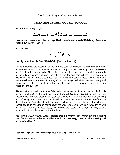#### **CHAPTER: GUARDING THE TONGUE**

Allaah the Most High says:

مَّــا يَلْفِـــظُ مِـــن قَـــوٌلِ إِلَّا لَدَيُـــهِ رَقِيـــبٌ عَتِيـــدٌ

**"Not a word does one utter, except that there is an (angel) Watching, Ready to record it."** [Surah Qaaf: 18]

And He says:



#### **"Verily, your Lord is Ever-Watchful."** [Surah Al-Fajr: 14]

I have mentioned previously, what Allaah made easy for me from the recommended types of remembrances. I also wanted to include along with that, the things that are disliked and forbidden in one's speech. This is in order that this book can be complete in regards to the ruling s concerning one's verbal statements, and comprehensive in regards to explaining their different categories. So I will mention some aspects about them that every Muslim must be aware of. A majority of the things I will state here are already well known, and for this reason, I will not include the evidences for most of them. Thus, with Allaah lies the success.

**Know** that every individual who falls under the category of being responsible for his actions (mukallaf) must guard his tongue from **all types of speech**, except for that speech which consists predominantly of some benefit. So in the situation that speaking and refraining from speech are both found to contain the same amount of benefit within them, then the Sunnah is to refrain from it, altogether. This is because the allowable speech (equal in benefit and harm) paves the way towards that which is forbidden as well as disliked. Rather, in most cases, this **will** be the result, and applying safety, at that point, will not be able to soothe it in the least.

Abu Hurairah (radyAllaahu 'anhu) reported that the Prophet (sallAllaahu 'alayhi wa sallam) said: **"Whosoever believes in Allaah and the Last Day, then let him speak good or remain silent."** <sup>1</sup>

l

 $1$  **Saheeh** - Reported by Al-Bukhaaree (11/308 of  $al-Fath$ ) and Muslim (47)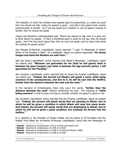This hadeeth, of which the scholars have agreed upon its authenticity, is a clear-cut proof that one should not talk, unless his speech is good  $-$  and that is the speech that consists predominantly of benefit. So if one has doubt as to whether or not his speech consists of benefit, then he should not speak.

Imaam Ash-Shaafi'ee (*rahimahullaah*) said: "When one desires to talk, then it is upon him to think before he speaks. If there is beneficial good in what he will say, then he should speak. And if he has doubt about that, then he must not speak until he clears that doubt (by making his speech good)."

Abu Moosaa Al-Ash'aree (radyAllaahu 'anhu) reported: "I said: 'O Messenger of Allaah! Which of the Muslims is best?' He (sallAllaahu 'alayhi wa sallam) responded: **'He whose tongue and hand the Muslims are safe from.'**" 2

Sahl Ibn Sa'ad (radyAllaahu 'anhu) reported that Allaah's Messenger (sallAllaahu 'alayhi wa sallam) said: **"Whoever can guarantee for me (that he will guard) what is between his jaws (tongue) and what is between his legs (private parts), I will guarantee for him Paradise."** <sup>3</sup>

Abu Hurairah (*radyAllaahu 'anhu*) reported that he heard the Prophet (*sallAllaahu 'alayhi* wa sallam) say: **"Indeed, the servant (of Allaah) will speak a word, while being unaware of (its consequences), and due to it, he will be cast into the Hellfire, farther than the distance between the east and the west."** <sup>4</sup>

In the narration of Al-Bukhaaree, there only occur the words: **"farther than the distance between the west"** without mentioning the east. The meaning of **"while being unaware"** is that he does not stop to consider whether his speech is good or not.

Abu Hurairah (radyAllaahu 'anhu) reported that the Prophet (sallAllaahu 'alayhi wa sallam) said: **"Indeed, the servant will speak words that are pleasing to Allaah, due to which he will be given a condition in which Allaah will raise him many levels. And indeed, the servant will speak words that are displeasing to Allaah, due to which he will not be given a good condition, but (instead) be thrown into the Hellfire."** <sup>5</sup>

It is reported in the Muwatta of Imaam Maalik and the books of At-Tirmidhee and Ibn Maajah from Bilaal Ibn Al-Haarith Al-Muznee (radyAllaahu 'anhu) that the Messenger of

 $2$  **Saheeh** - Reported by Al-Bukhaaree (1/54 of  $al-Fath$ ) and Muslim (42)

<sup>&</sup>lt;sup>3</sup> Saheeh - Reported by Al-Bukhaaree (11/308 of al-Fath)

<sup>&</sup>lt;sup>4</sup> Saheeh - Reported by Al-Bukhaaree (11/308 of al-Fath) and Muslim (2988)

<sup>&</sup>lt;sup>5</sup> Saheeh - Reported by Al-Bukhaaree (11/308 of al-Fath)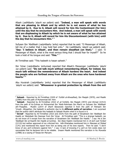Allaah (sallAllaahu 'alayhi wa sallam) said: **"Indeed, a man will speak with words that are pleasing to Allaah and by which he is not aware of what he has attained by it. Due to it, Allaah will record for him His Contentment (for him) until the day that he encounters Him. And indeed, a man will speak with words that are displeasing to Allaah by which he is not aware of what he has attained by it. Due to it, Allaah will record for him His Discontentment (with him) until the day that he encounters Him."** <sup>6</sup>

Sufyaan Ibn 'Abdillaah (radyAllaahu 'anhu) reported that he said: "O Messenger of Allaah, tell me of a matter that I may hold fast onto." He (sallAllaahu 'alayhi wa sallam) said: "**Say: 'I believe in Allaah', and then remain steadfast (on that)."** I said: 'O Messenger of Allaah, what is the most serious thing that I should fear for myself?" So he took a hold of his tongue and said: **'This.'**" 7

At-Tirmidhee said: "This hadeeth is hasan saheeh."

Ibn 'Umar (radyAllaahu 'anhumaa) reported that Allaah's Messenger (sallAllaahu 'alayhi wa sallam) said: **"Do not talk much without remembering Allaah, for indeed, too much talk without the remembrance of Allaah hardens the heart. And indeed the people who are farthest away from Allaah are the ones who have hardened hearts."** <sup>8</sup>

Abu Hurairah (*radyAllaahu `anhu*) reported that the Messenger of Allaah (*sallAllaahu* 'alayhi wa sallam) said: **"Whosoever is granted protection by Allaah from the evil** 

**Saheeh** - Reported by At-Tirmidhee (2420 of *Tuhfah al-Ahwadhee*), Ibn Maajah (3970), and Maalik (2/985) from the path of Muhammad Ibn 'Amr.

**Saheeh** - Reported by At-Tirmidhee (2522 of at-Tuhfah), Ibn Maajah (3972) and Ahmad (3/413) from the path of Az-Zuhree on Muhammad Ibn 'Abdir-Rahmaan Ibn Maa'iz on Sufyaan Ibn 'Abdillaah ath-Thagafee. Muslim (2/8-9 of *Sharh Nawawee*) reported it from the path of Hishaam Ibn 'Urwah…Altogether, the hadeeth is authentic due to its **different paths of narration.** I am surprised that the author didn't attribute this hadeeth to Saheeh Muslim when it is found in it.

<sup>8</sup> **Da'eef** - Reported by At-Tirmidhee (2523 and 2524) from the path of Ibraaheem Ibn 'Abdillaah Ibn Haatib on 'Abdullaah Ibn Deenaar from Ibn 'Umar. At-Tirmidhee said: "This is a strange hadeeth, we do not know of it except from the narration of Ibraaheem Ibn 'Abdillaah Ibn Haatib." I say: He is Ibn 'Abdillaah Ibn al-Haarith Ibn Haatib al-Jumhee. Ibn Abee Haatim mentioned him in Al-Jarh wat-Ta'deel (2/110) but neither approved of nor criticized him. Adh-Dhahabee mentioned him in Meezaan al-'Itidaal (1/41) and mentioned this report from him as being one of his lone reports. Then he said: "I don't know of any *jarh* (criticism) against him." I say: A lack of knowing if a *jarh* on him exists does not necessitate that he declares him to be reliable. Imaam Maalik mentioned this narration in his Muwatta (2/986) as a saying of 'Eesaa bin Maryam.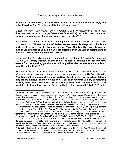**of what is between his jaws and from the evil of what is between his legs, will enter Paradise."** At-Tirmidhee said the hadeeth was hasan. <sup>9</sup>

'Uqbah Ibn 'Aamir (radyAllaahu 'anhu) reported: "I said: 'O Messenger of Allaah, how does one attain salvation?' He (sallAllaahu 'alayhi wa sallam) responded: **'Restrain your tongue, remain in your home and weep over your sins.'**" 10

Abu Sa'eed Al-Khudree (radyAllaahu 'anhu) reported that the Prophet (sallAllaahu 'alayhi wa sallam) said: **"When the Son of Aadam wakes from his sleep, all of his body parts seek refuge from his tongue, saying: 'Fear Allaah with regard to us, for indeed we are part of you. So if you are upright, then we will be upright and if you are corrupt, then we shall be corrupt."** <sup>11</sup>

Umm Habeebah (radyAllaahu 'anhaa) reported that the Prophet (sallAllaahu 'alayhi wa sallam) said: **"Every speech of the Son of Aadam is against him not for him, except for commanding good and forbidding evil or the remembrance of Allaah, may He be Exalted."** <sup>12</sup>

Mu'aadh Ibn Jabal (radyAllaahu 'anhu) reported: "I said: 'O Messenger of Allaah! Tell me of an act that will take me to Paradise and keep me away from the Hellfire.' He said: **'You have asked me about a major matter. But it is easy for he whom Allaah, may He be Exalted, makes it easy for. You must worship Allaah, associating nothing with him. You must perform the prayers and pay the Zakaat. You must fast in Ramadaan and perform the Hajj to the House (Ka'abah).'** Then he

 $\overline{\phantom{a}}$ 

<sup>&</sup>lt;sup>9</sup> **Saheeh** - Reported by At-Tirmidhee (2521 of *at-Tuhfah*) from the path of Ibn 'Ijlaan from Abu Haazim. I say: Its chain is hasan because Muhammad Ibn 'Ijlaan is honest. Muslim transmitted from him for his supporting reports. So the hadeeth is saheeh (authentic) due to its supporting evidences.

<sup>&</sup>lt;sup>10</sup> Saheeh - Reported by Ibn Al-Mubaarak in az-Zuhd (134) and from him Ahmad (5/259) and At-Tirmidhee (2517 of at-Tuhfah) from the path of 'Ubaydullaah Ibn Zuhr from 'Alee Ibn Yazeed. I say: Its chain of narration is very weak, because there are two defects in it. Firstly, 'Ubaydullaah Ibn Zuhr has weakness in him, and Secondly, 'Alee Ibn Yazeed is very weak. However, Ahmad (4/148) reported it from the path of Mu'aadh Ibn Rifaa'ah on 'Alee Ibn Yazeed. So the first defect is uplifted because Mu'aadh is honest. Also, At-Tabaraanee (sec. 59) reported it from the path of Ibn Thawbaan from his father from Al-Qaasim from Abu Umaamah. Its chain is hasan, so the second defect is removed.

<sup>&</sup>lt;sup>11</sup> Hasan- Reported by At-Tirmidhee (2518 of at-Tuhfah), Ahmad (3/95-96), Ibn Al-Mubaarak in az-Zuhd (1012) and others, from the path of Hamaad Ibn Zayd from Abu Suhbaa from Sa'eed Ibn Jubair. Its chain is hasan (acceptable), the reporters are all reliable except for Abu Suhbaa. His name is Suhaib and he was the freed slave of Ibn 'Abbaas. Abu Zur'ah and Ibn Hibbaan declared him to be reliable and many have reported from him, thus his hadeeth are acceptable.

<sup>&</sup>lt;sup>12</sup> **Da'eef** - Reported by At-Tirmidhee (2525 of *at-Tuhfah*) and Ibn Maajah (3974) from the path of Muhammad Ibn Bishaar. This hadeeth is weak because it has two defects. The first is Umm Saalih, her condition is not known. The second is Muhammad Ibn Yazeed Al-Khanees.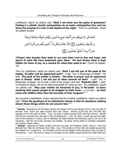(sallAllaahu 'alayhi wa sallam) said: **'Shall I not show you the gates of goodness? Fasting is a shield; charity extinguishes sin as water extinguishes fire; and (so does) the praying of a man in the depths of the night.'** Then he (sallAllaahu 'alayhi wa sallam) recited:

تَتَجَـافَىٰ جُـنُوبُهُمْ عَـن ٱلۡمَضَاجِـعِ يَدۡعُـونَ رَبَّهُـمۡ خَوۡفَٓا وَطَمَعَٓا وَمِمَّا رَزَقَنَـٰهُمۡ يُنفِقُـونَ ۞ فَلَا تَعۡلَـمُ نَفۡسٌ مَّاۤ أُخۡفِىَ لَهُم مِّـن قُرَّةِ أَعۡيُـن جَزَآءً بِمَا كَانُواْ يَعْمَلُونَ ۞

**'(Those) who forsake their beds to cry unto their Lord in fear and hope, and spend of what We have bestowed upon them. No soul knows what is kept hidden for them of joy, as a reward for what they used to do.'** [Surah As-Sajdah: 16]

Then he (sallAllaahu 'alayhi wa sallam) said: '**Shall I not tell you of the peak of the matter, its pillar and its uppermost part?'** I said: 'Yes, O Messenger of Allaah!' He said: **'The peak of the matter is Islaam. The pillar is prayer and its uppermost part is Jihaad. Shall I not tell you of what controls all that?'** I said: 'Yes, O Messenger of Allaah.' So he took a hold of his tongue, and said: **'Restrain this!'** I said: 'O Prophet of Allaah, will we be held accountable for what we say?' He (sallAllaahu 'alayhi wa sallam) said: **"May your mother be bereaved of you, O Mu'aadh! Is there anything that causes people to be dragged on their faces** – or he said – **on their noses into Hellfire other than the harvests of their tongues?'**" 13

Abu Hurairah (radyAllaahu 'anhu) reported that the Prophet (sallAllaahu 'alayhi wa sallam) said: **"From the goodness of an individual's Islaam is that he abandons (talking about) those things which do not concern him."** <sup>14</sup>

 $\overline{\phantom{a}}$ 

<sup>&</sup>lt;sup>13</sup> Saheeh - Reported by At-Tirmidhee (2616), Ibn Maajah (2973) and Ahmad (5/231) from the path of Mu'amar from 'Aasim Ibn Abee Nujood from Abu Waa'il. Ahmad (5/235-236 and 245-246) also reported it from the path of Shahr. I say: Its chain is weak because Shahr had bad memory. Ahmad (5/234) also reported from the path of Ibn Al-Mugheerah. I say: Its chain is weak because Abu Bakr (one of the narrators in chain), who is 'Abdullaah Ibn Abee Maryam Ash-Shaamee used to mix up in his narrations. But the rest of the narrators are reliable. So these various paths of narration strengthen one another, Allaah willing.

<sup>&</sup>lt;sup>14</sup> Saheeh - Reported by Maalik (2/903) and from his path, At-Tirmidhee (2420), which is: From Ibn Shihaab from 'Alee Ibn Al-Husayn from 'Alee. I say: The narrators of this chain are reliable except that the hadeeth is in *mursal* form. At-Tirmidhee (2419) and Ibn Maajah (2976) reported it from the path of Al-Awzaa'ee. I say: This chain is hasan, its narrators are all reliable except Qurrah Ibn 'Abdir-Rahmaan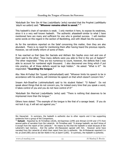'Abdullaah Ibn 'Amr Ibn Al-'Aas (radyAllaahu 'anhu) narrated that the Prophet (sallAllaahu 'alayhi wa sallam) said: **"Whoever remains silent is saved."** <sup>15</sup>

This hadeeth's chain of narrators is weak. I only mention it here, to expose its weakness, since it is a very well known hadeeth. The authentic *ahaadeeth* similar to what I have mentioned here are many and sufficient for one who is granted success. I will mention some words on this regard in the section of Backbiting, and with Allaah lies the success.

As for the narrations reported on the Salaf concerning this matter, then they are also abundant. There is no need for mentioning them after having heard the previous reports. However, we will briefly inform of some of them.

It has reached us that Qass Ibn Saa'ada and Aktham Ibn Sayfee once met and one of them said to the other: "How many defects were you able to find in the son of Aadam?" The other responded: "They are too numerous to count, however, the defects that I was able to account for numbered eight thousand. I also discovered one thing which if put into practice, all of these defects would be kept hidden." He asked: "What is it?" He responded: **"Guarding the tongue."**

Abu 'Alee Al-Fudayl Ibn 'Iyyaad (rahimahullaah) said: "Whoever limits his speech to be in accordance with his actions, will minimize his speech on that which doesn't concern him."

Imaam Ash-Shaafi'ee (*rahimahullaah*) said to his student Rabee': "O Rabee'! Do not speak about things that do not concern you, for indeed every time that you speak a word, it takes control of you and you do not have control of it!"

'Abdullaah Ibn Mas'ood (radyAllaahu 'anhu) said: "There is nothing that deserves to be imprisoned more than the tongue."

Others have stated: "The example of the tongue is like that of a savage beast. If you do not lock it up, it will set out against you."

www.al-manhaj.com 11 al-Manhaj E-Books 11 al-Manhaj E-Books 11

Ibn Haywa'eel. In summary, the hadeeth is authentic due to other reports and it has supporting evidences from a group of the Companions..

<sup>&</sup>lt;sup>15</sup> Saheeh - Reported by At-Tirmidhee (2618), Ad-Daarimee (2/99) and Ahmad (2/159 and 177) from several paths of narration from Ibn Lahee'ah. At-Tirmidhee said: "A strange hadeeth, we don't know of it except from the report of Ibn Lahee'ah." He means by this that the hadeeth is weak because of Ibn Lahee'ah's bad memory. And the author (An-Nawawee) agreed with him. However some have narrated from Ibn Lahee'ah of which their report from him is authentic. Ibn Al-Mubaarak reported it in his az-Zuhd (385) and so did Ibn Wahb in his al-Jaami' (2/85). In summary, the hadeeth is authentic.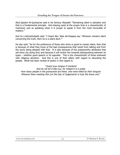Abul-Qaasim Al-Qushayree said in his famous Risaalah: "Remaining silent is salvation and that is a fundamental principle. And staying quiet at the proper time is a characteristic of manhood, just as speaking when it is proper to speak is from the most honorable of matters."

And he (*rahimahullaah*) said: "I heard Abu 'Alee Ad-Daqaaq say: 'Whoever remains silent concerning the truth, then he is a silent devil.'"

He also said: "As for the preference of those who strive in good to remain silent, then that is because of what they know of the bad consequences that result from talking and from the soul's being pleased with that. It is also because of the praiseworthy attributes that will show (by doing this) and because it will incline him towards distinguishing between its types – whether good speech or its opposite. This is the characteristic of those endowed with religious devotion. And this is one of their pillars with regard to educating the people. What has been recited of poetry in this regard is:

"Guard your tongue O mankind And do not let it bite you, for indeed it is a snake How many people in the graveyards are there, who were killed by their tongues Whoever fears meeting Him (on the Day of Judgement) is truly the brave one."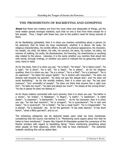#### **THE PROHIBITION OF BACKBITING AND GOSSIPING**

**Know** that these two matters are from the most vilest and despicable of things, yet the most widely spread amongst mankind, such that no one is free from them except for a few people. Thus, I begin with these two, due to the public's need for being warned of them.

As for Backbiting (*gheebah*), then it is when you mention something about a person (in his absence), that he hates (to have mentioned), whether it is about: His body, his religious characteristics, his worldly affairs, his self, his physical appearance, his character, his wealth, his child, his father, his wife, his servant, his slave, his turban, his attire, his manner of walking, his smile, his dissoluteness, his frowning, his cheerfulness or anything else related to the above. Likewise, it is the same whether you mention that about him with words, through writings, or whether you point or indicate him by gesturing with your eyes, hand or head.

As for the body, then it is when you say: "he is blind", "he limps", "he is bleary-eyed", "he is bald", "he is short", "he is tall", "he is black", "he is yellow". As for his religious qualities, then it is when you say: "he is a sinner", "he is a thief", "he is a betrayer", "he is an oppressor", "he takes the prayer lightly", "he is lenient with impurities", "he does not behave well towards his parents", "he does not pay the Zakaat duly", and "he does not avoid backbiting." As for the worldly matters, then it is when you say: "he has poor manners", "he's unmindful of people", "he does not think that anyone has a right over him", "he talks too much", "he eats and sleeps too much", "he sleeps at the wrong times", "he sits in places he does not belong in."

As for those matters connected with one's parents, then it is when you say: "his father is a sinner", "an Indian", "a Nabatean", "a Negro", "a loafer", "a seedsman", "a cattle dealer", "a carpenter", "a blacksmith", "a weaver." As for his character, then it is when you say: "he has bad manners", "he is arrogant", "he is quarrelsome", "he is rash and hasty", "he is tyrannical", "he is feeble", "he has a weak heart", "he is irresponsible", "he is dismal", "he is dissolute", etc. As for the garment: "it has wide sleeves", "it has short hems", "what a filthy garment", and so on.

The remaining categories can be deduced based upon what we have mentioned, considering that the source rule behind it is: "Mentioning some aspect about him that he hates to have mentioned." Imaam Abu Haamid Al-Ghazaalee quoted the consensus of the Muslim scholars with regard to backbiting being: "One's mentioning something about other people (in their absence), which they hate to have mentioned." The authentic hadeeth clarifying this will be stated later.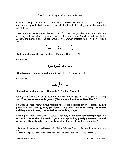As for Gossiping (*nameemah*), then it is when one conveys and carries the talk of people from one group of individuals to another with the intent of causing discord between the two of them.

These are the definitions of the two. As for their rulings, then they are forbidden according to the unanimous agreement of the Muslim scholars. The clear evidences in the Qur'aan, the Sunnah and the consensus of the ummah indicate its prohibition. Allaah says:

وَلَا يَغْتَب بَّعۡضُكُم بَعۡضًاۚ

**"And do not backbite one another."** [Surah Al-Hujuraat: 12]

And He says:

**"Woe to every slanderer and backbiter."** [Surah Al-Humazah: 1]

And He says:

**"A slanderer going about with gossip."** [Surah Al-Qalam: 11]

Hudhayfah (radyAllaahu 'anhu) reported that the Prophet (sallAllaahu 'alayhi wa sallam) said: **"The one who spreads gossip (Namaam) will not enter Paradise."** <sup>16</sup>

Ibn 'Abbaas (radyAllaahu 'anhu) reported that Allaah's Messenger once passed by two graves and said: **"Verily, they (occupants of graves) are both being tormented and they are not being tormented for something major."**

In the report from Al-Bukhaaree, it states: **"Rather, it is indeed something major. As for the first one, then he used to go around spreading gossip (nameemah) and as for the other, then he used not to protect himself from his own urine."** <sup>17</sup>

 $\overline{\phantom{a}}$ 

<sup>&</sup>lt;sup>16</sup> Saheeh – Reported by Al-Bukhaaree (10/472 of *al-Fath*) and Muslim (105), and the wording is from him.

<sup>17</sup> **Saheeh** – Reported by Al-Bukhaaree (1/317 and 322, 3/222-223 and 242) and Muslim (292)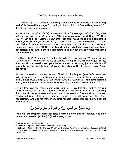The scholars say the meaning of **"and they are not being tormented for something major"** is **"something major"** according to their opinion or **"something major"** for them to have abandoned doing.

Abu Hurairah (radyAllaahu 'anhu) reported that Allaah's Messenger (sallAllaahu 'alayhi wa sallam) once said (to his Companions): **"Do you know what backbiting is?"** They said: "Allaah and His Messenger know best." He said: **"Your mentioning something about your brother (in his absence) that he hates (to have mentioned)."** It was said: "What if there exists in my brother, that which I say (of him)?" He (sallAllaahu 'alayhi wa sallam) said: **"If there is found in him what you say, then you have backbitten him. And if there is not found in him what you say, then you have**  slandered him." <sup>18</sup>

Abu Bakrah (radyAllaahu 'anhu) reported that Allaah's Messenger (sallAllaahu 'alayhi wa sallam) said in his sermon on the day of Sacrifice, during his farewell pilgrimage: **"Verily, your blood, your wealth and your honor are sacred for you, just as this day of yours is sacred, in this land of yours, in this month of yours. Have I not conveyed?"** 19

'Aa'ishah (radyAllaahu 'anhaa) narrated: "I said to the Prophet (sallAllaahu 'alayhi wa sallam): 'You are more than Safiyyah by such and such.' [Some of the narrators said it meant that she was short] So he (sallAllaahu 'alayhi wa sallam) said: **'You have stated a word, which if mixed with the water of the sea, it would surely stain it.'**" 20

At-Tirmidhee said this hadeeth was *hasan saheeh*. I say that the word for staining (*mazaja*) means: That it (her statement) would mix with the water with such a mixing that it would change its taste and smell due to the severity of its stench and vileness. This hadeeth is one of the greatest proofs in showing the forbiddance of backbiting, if not **the** greatest. And I do not know of any other hadeeth that reaches this level with regard to condemning backbiting.



**"And he (the Prophet) does not speak from his own desire. Rather, it is only revelation revealed (to him)."** [Surah An-Najm: 3-4]

 $\overline{\phantom{a}}$ 

<sup>18</sup> **Saheeh** - Reported by Muslim (2589)

<sup>19</sup> **Saheeh** – Reported by Al-Bukhaaree (1/199 of al-Fath)

<sup>20</sup> **Saheeh** – Reported by Abu Dawood (4875), At-Tirmishee (2624 of at-Tuhfah) and Ahmad (6/189) from the path of Sufyaan Ibn 'Alee Ibn Al-Aqmar. I say: Its chain of narration is authentic; its narrators are reliable.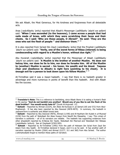We ask Allaah, the Most Generous, for His kindness and forgiveness from all detestable acts.

Anas (radyAllaahu 'anhu) reported that Allaah's Messenger (sallAllaahu 'alayhi wa sallam) said: "**When I was ascended (to the heavens), I came across a people that had nails made of brass, with which they were scratching their faces and their chests. So I said: 'Who are these people, O Jibreel?' He said: 'They are the ones who eat the flesh of people** <sup>21</sup> **and dishonor them.'"** <sup>22</sup>

It is also reported from Sa'eed Ibn Zayd (radyAllaahu 'anhu) that the Prophet (sallAllaahu 'alayhi wa sallam) said: "**Verily, one of the worst forms of Ribaa (interest) is being condescending with regard to a Muslim's honor, without due right."** <sup>23</sup>

Abu Hurairah (radyAllaahu 'anhu) reported that the Messenger of Allaah (sallAllaahu 'alayhi wa sallam) said: "**A Muslim is the brother of another Muslim. He does not betray him, nor does he lie to him, nor does he forsake him. All of the Muslim to (another) Muslim is sacred – his honor, his wealth and his blood. Taqwaa (fear and obedience to Allaah) is right here [pointing to his chest]. It is enough evil for a person to look down upon his fellow Muslim."** 24

At-Tirmidhee said it was a *hasan* hadeeth. I say that there is no hadeeth greater in advantage and more numerous in points of benefit than this hadeeth. And with Allaah lies the success.

<sup>&</sup>lt;sup>21</sup> Translator's Note: This is a reference to backbiting, since Allaah likens it to eating a human's flesh in His saying: **"And do not backbit one another! Would any of you like to eat the flesh of his dead brother? You would surely hate it!"** [Surah Al-Hujuraat: 12]

<sup>22</sup> **Saheeh** – Reported by Ahmad (3/224), Ibn Abee Ad-Duniyaa in as-Samat (165 and 572) from Abul-Mugheerah. It has also been reported by Abu Dawood (4878-4879). In summary, the hadeeth in mawsool form is authentic and Allaah knows best.

<sup>&</sup>lt;sup>23</sup> Saheeh – Reported by Abu Dawood (4876), Ahmad (1/190) and Al-Haytham Ibn Kulaib in *al-Musnad* (2/30) from the path of 'Abdullaah Ibn Abee Husayn from Nawfil Ibn Masaahiq. I say: This cvhain of narration is authentic – all of its narrators are reliable. The hadeeth has supporting evidences from other ahaadeeth reported by Al-Baraa Ibn 'Aazib, 'Abdullaah Ibn Mas'ood and 'Abdullaah Ibn 'Abbaas (radyAllaahu 'anhum). See at-Targheeb (3/503-505).

<sup>24</sup> **Saheeh** – Reported by At-Tirmidhee (1992) from the path of Hishaam Ibn Sa'ad from Zayd Ibn Aslam from Abu Saalih. At-Tirmidhee declared it hasan, and it is as he said. It has another path of narration reported by Muslim (2564) and Ahmad (2/277, 311 and 360) from Abu Sa'eed. The author (rahimahullaah) forgot to mention these paths of narration.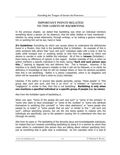#### **IMPORTANT POINTS RELATED TO THE LIMITS OF BACKBITING**

In the previous chapter, we stated that backbiting was when an individual mentions something about a person (in his absence), that the latter dislikes to have mentioned – whether by using verbal statements, through writings, or by making a gesture indicating him or pointing him out by eye, hand or head.

It's Guidelines: Everything by which one causes others to understand the deficiencies found in a Muslim, then that is the backbiting that is forbidden. An example of this is when someone tells others that "such and such" individual walks with a limp or that he walks while humped over or anything similar to that from the aspects by which one desires to narrate in order to belittle the individual. All of this is H**araam** (forbidden) – there being no difference of opinion in this regard. Another example of this, is when an author mentions a specific individual in his book, saying **"Such and such person says this…"** desiring to degrade him and dishonor him. This is Haraam. However, if his intention is to clarify that person's mistake so that it will not be followed, or to clarify his deficiency in knowledge so that he will not mislead others or have his opinions accepted, then this is not backbiting. Rather it is advice (*naseehah*), which is an obligation and which will be rewarded if that is what he (truly) intended.

Likewise, if the author or anyone else speaks generally, saying: "these people" or "this group says such and such, and this is an error" or "a mistake" or "ignorance" or "negligence" or similar to that, then this is not backbiting. **Backbiting is only when one mentions a specified individual or a specific group of people (i.e. by name).** 

Also from the forbidden types of backbiting is:

When one says: "Some of the people did such and such" or "some of the scholars" or "some who claim to have knowledge" or "some of the *muftees*" or "some who attribute themselves to rectifying (the *ummah*)" or "who claim abstinence" or "some people who passed by us today" or "some people that we saw" or similar to this "...did such and such", without specifying anyone, but yet the one being spoken to realizes who the individuals are specifically, due to the speaker's causing him to understand who they are (through his words).

Also from its types is: The backbiting of the devoutly pious and knowledgeable individuals, for indeed they turn towards committing backbiting by doing it in a manner by which they cause others to understand (the person they are talking about without specifying him), just as something that is quite clear is understood. So (for example) when it is said to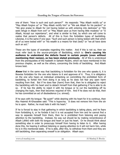one of them: "How is such and such person?" He responds: "May Allaah rectify us" or "May Allaah forgive us" or "May Allaah rectify him" or "We ask Allaah for his pardon!" or "We give praise to Allaah for not having tested us with entering into darkness" or "We seek refuge in Allaah from evil" or "May Allaah save us from having little modesty" or "O Allaah, Accept our repentance", and what is similar to that, by which one will come to realize that person's defects. All of this is from the forbidden types of backbiting. Likewise, it is the same if one says: "Such and such person is being tested with that which all of us were tested with" or "his wealth is a means for that (test)" or "we all have done such an act."

These are the types of examples regarding this matter. And if this is not so, then we must refer back to the source-principle of Backbiting, which is: **One's causing his audience to understand the defects found in certain people (even without mentioning their names), as has been stated previously.** All of this is understood from the prerequisites of the hadeeth in Saheeh Muslim, which we have mentioned in the previous chapter, as well as the others, concerning the limits of backbiting. And Allaah knows best.

**Know** that in the same way that backbiting is forbidden for the one who speaks it, it is likewise forbidden for the one who listens to it and approves of it. Thus, it is obligatory on the one who hears an individual embarking on committing the prohibited form of backbiting, to forbid him from doing it as long as he does not fear any open harm resulting from that. But if he does fear (harm) from that, then he is obligated to reject the backbiting with his heart and to detach himself from that gathering if he is able to do so. If he has the ability to reject it with his tongue or to cut the backbiting off by changing the topic, then that becomes required of him. And if he does not do that, then he has committed an act of disobedience (i.e. sinned).

If he says with his tongue: "Be quiet!" while desiring with his heart for it to continue, then Abu Haamid Al-Ghazaalee said: "This is hypocrisy. It does not remove him from the sin he is upon. Rather, he must hate it with his heart."

If he is forced to stay in that gathering in which backbiting is taking place, and he fears from forbidding it, or he forbids it but it is not accepted from him and he cannot find a way to separate himself from them, then he is prohibited from listening and paying attention to the backbiting. Instead, his way out should be by making remembrance of Allaah  $(dhikr)$  with both his tongue and heart or just his heart. Or he should think about something else in order to preoccupy himself from having to listen to it. After having done this, his hearing it without listening or paying attention to it will not harm him, while he is in this mentioned state. If he is able, after this, to withdraw from them and they are still backbiting, then separating oneself is an obligation. Allaah says:

www.al-manhaj.com 18 18 Al-Manhaj E-Books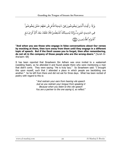**"And when you see those who engage in false conversations about Our verses by mocking at them, then turn away from them until they engage in a different topic of speech. But if the Devil causes you to forget, then after remembering, do not sit in the company of those people who are the wrong-doers."** [Surah Al-Ana'aam: 68]

It has been reported that Ibraaheem Ibn Adham was once invited to a *waleemah* (wedding feast), so he attended it and found people there who were mentioning a man that didn't come. They were saying: "He is truly lazy." So Ibraaheem said: "I brought this upon myself, such that I attended a place in which people are backbiting one another." So he left from there and did not eat for three days. What has been recited of poetry with regard to this is:

> "And restrain your ears from hearing vile speech Just as you restrain your tongue from speaking it Because when you listen to this vile speech You are a partner to the one saying it, so reflect."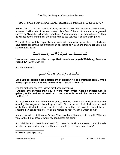#### **HOW DOES ONE PREVENT HIMSELF FROM BACKBITING?**

**Know** that this section consists of many evidences from the Qur'aan and the Sunnah, however, I will shorten it to mentioning only a few of them. So whosoever is granted success by Allaah, he will benefit from them. And whosoever is not granted success, then he will not benefit from them, even if he were to see volumes filled with these proofs.

The main focus of this chapter is to let each individual (reading) apply all the texts we have stated concerning the prohibition of backbiting to himself and then to reflect on the statement of Allaah:

مَّــا يَلْفِـــظُ مِـــن قَـــوٌلِ إِلَّا لَدَيُـــهِ رَقِيـــبٌ عَتِيـــدٌ

**"Not a word does one utter, except that there is an (angel) Watching, Ready to record it."** [Surah Qaaf: 18]

And His statement:

وَتَحَسَبُونَهُۥ هَيّنًا وَهُوَ عِندَ ٱللَّهِ عَظِيمٌ

"**And you perceived it (the statement of slander) to be something small, while in the sight of Allaah, it was an enormity."** [Surah An-Noor: 15]

And the authentic hadeeth that we mentioned previously:

**"Indeed, the servant may say a word from which Allaah's Displeasure is gained, while he does not realize it. And due to it, he will be thrown into the Hellfire."** <sup>25</sup>

He must also reflect on all the other evidences we have stated in the previous chapters on guarding the tongue and backbiting, as well. It is upon each individual to attach and apply these (texts) to all of his statements, such that (he says to himself before speaking): "Allaah is with me", "Allaah is witnessing me", "Allaah is watching me".

A man once said to Al-Hasan Al-Basree: "You have backbitten me." So he said: "Who are you, so that I may know to whom my good deeds are going?"

And 'Abdullaah Ibn Al-Mubaarak said: "If I were to backbite someone, I would surely backbite my parents for they have the most right to (receive) my good deeds."

l

<sup>25</sup> **Saheeh** – Stated previously

www.al-manhaj.com 20 Al-Manhaj E-Books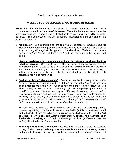#### **WHAT TYPE OF BACKBITING IS PERMISSIBLE?**

**Know** that although backbiting is forbidden, it becomes permissible under certain circumstances when done for a beneficial reason. The authorization for doing it must be based on a valid and legitimate reason of which in its absence, its permissibility cannot be achieved. The authorization (making backbiting allowable) can be any one of the following six reasons:

- 1. **Oppression** It is permissible for the one who is oppressed to complain about his situation to the ruler or the judge or anyone else who holds authority or has the ability to grant him justice against his oppressor. He should say: "Such and such person wronged me" and "he did such thing to me", and "he coerced me in this manner" and so on.
- 2. **Seeking assistance in changing an evil and in returning a sinner back to what is correct** - One should say to the individual whom he expects has the capability of putting a stop to the evil: "Such and such person did this, so I prevented him from it" or something to that effect. His objective should be to look for a way to ultimately put an end to the evil. If he does not intend that as his goal, then it is forbidden (for him to mention it).
- 3. **Seeking a fatwa (religious ruling)** One should do this by saying to the muftee (scholar capable of issuing a *fatwa*): "My father" or "my brother" or "such and such person wronged me in this way." "Does he have the right to do so?" "How shall I go about putting an end to it and obtain my right while repelling oppression from myself?" and so on. Likewise, one may say: "My wife did such and such to me" or "my husband did such and such a thing" and so on. This is permissible due to the necessity for it, however, to be more cautious, it is better for one to say: "What do you say about a man who has done such and such thing?" or "concerning a husband" or "concerning a wife who did such and such" (without saying "my"), etc.

By doing this, the goal is achieved without having to resort to specifying anyone. However, specifying an individual by name is permissible (in this circumstance), based on the hadeeth of Hind (radyAllaahu 'anhaa), which we shall mention later, by the Will of Allaah, in which she told Allaah's Messenger: **"Indeed, Abu Sufyaan (her husband) is a stingy man.**" And the Messenger of Allaah (sallAllaahu 'alayhi wa sallam) did not forbid her from saying this.

4. **Warning and Advising the Muslims against Evil** - There are several perspectives to this, of which one is: Declaring someone unreliable in the field of narrating hadeeth and giving testimony. This is permissible to do, according to the *Ijmaa'* (consensus of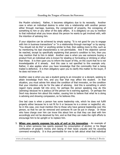the Muslim scholars). Rather, it becomes obligatory due to its necessity. Another case is when an individual desires to enter into a relationship with another person either through marriage, business, the consignment of property, the consigning of something to him or any other of the daily affairs. It is obligatory on you to mention to that individual what you know about the person he wants to get involved with, with the intention of advising him.

If your objective can be achieved by simply saying: "It is not good for you to engage with him in business transactions" or "in a relationship through marriage" or by saying: "You should not do this" or anything similar to that, then adding more to this, such as by mentioning his bad characteristics is not permissible. And if the objective cannot be reached, except by specifically explaining that person's condition to him, then you may mention that to him in detail. Another case is when you see someone buying a product from an individual who is known for stealing or fornicating or drinking or other than these. It is then upon you to inform the buyer of this, on the count that he is not knowledgeable of it already. And this case is not specified to this example only. Rather, it also applies when you have knowledge that the commodity that is being traded is defective. It is then obligatory upon you to clarify this matter to the buyer, if he does not know of it.

Another case is when you see a student going to an innovator or a deviant, seeking to attain knowledge from him, and you fear that may affect the student. In that situation, you must advise him about the condition of that innovator, on the condition that your intention only be for the sake of advising. And this is something in which regard many people fall into error, for perhaps the person speaking may do this (advising) because he is jealous (of the person he is warning against). Or perhaps the Devil may deceive him about this matter, causing him to believe that what he is doing is advising and showing compassion, so he believes this.

One last case is when a person has some leadership role, which he does not fulfill properly either because he is not fit for it or because he is a sinner or neglectful, etc. So in this case, one must mention this to those who have general leadership over this person, so that he can be removed and someone fit can be put in charge. Or those who have charge over him can know this about him so that they can deal with him accordingly and not be deceived by him, and so that they can make the right efforts to encourage him to be upright or to replace him.

5. **When one openly exposes his acts of evil or his innovation** - An example of this is when someone has openly exposed his consumption of alcohol, or his illegal confiscation of people's money and raising of their taxes unjustly and his usurping command wrongfully. It is thus permissible for one to talk about what that individual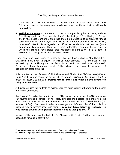has made public. But it is forbidden to mention any of his other defects, unless they fall under one of the categories, which we have mentioned that backbiting is permissible.

6. **Defining someone** - If someone is known to the people by his nickname, such as "the bleary eyed one", "the one who limps", "the deaf guy", "the blind guy", "crosseyed", "flat-nosed", and other than that, then it is permissible to particularize him as such, with the aim of identifying him. However, it is forbidden to apply that to him, when one's intention is to degrade him. If he can be identified with another (more appropriate) type of name, then that is more preferable. These are the six cases, in which the scholars have stated that backbiting is permissible, if it is done in accordance to the guidelines we mentioned above.

From those who have reported similar to what we have stated is Abu Haamid Al-Ghazaalee in his book "Al-Ihyaa", as well as other scholars. The evidences for the permissibility of backbiting can be found in authentic and well-known *ahaadeeth*. Furthermore, there is an agreement of the scholars concerning the allowance of backbiting in these six cases.

It is reported in the *Saheehs* of Al-Bukhaaree and Muslim that 'Aa'ishah (radyAllaahu 'anhaa) said: "A man sought permission of the Prophet (sallAllaahu 'alayhi wa sallam) to enter (his house), so he said: **'Permit him to enter, and what an evil brother to (his) relatives he is.'**" 26

Al-Bukhaaree uses this hadeeth as evidence for the permissibility of backbiting the people of mischief and doubts.

Ibn Mas'ood (radyAllaahu 'anhu) narrated: "The Messenger of Allaah (sallAllaahu 'alayhi wa sallam) divided a portion (of war booty amongst the people), so a man from the Ansaar said: 'I swear by Allaah, Muhammad did not intend the face of Allaah by this (i.e. he was not fair).' So I went to Allaah's Messenger and informed him of this. His face changed (i.e. he became mad) and said: **'May Allaah have mercy on Moosaa. He was indeed abused with greater than this, but he was patient.'**" 27

In some of the reports of the hadeeth, Ibn Mas'ood said: "I said: I will not raise another hadeeth to him again, after this."

 $\overline{a}$ <sup>26</sup> **Saheeh** – Reported by Al-Bukhaaree (10/471 of al-Fath) and Muslim (2591)

<sup>27</sup> **Saheeh** – Reported by Al-Bukhaaree and Muslim and its checking has preceded.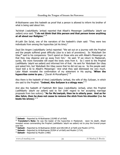Al-Bukhaaree uses this hadeeth as proof that a person is allowed to inform his brother of what is being said about him.

'Aa'ishah (radyAllaahu 'anhaa) reported that Allaah's Messenger (sallAllaahu 'alayhi wa sallam) once said: **"I do not think that this person and that person know anything at all about our Religion."** <sup>28</sup>

Al-Laith Ibn Sa'ad, one of the narrators of the hadeeth's chain said: "They were two individuals from among the hypocrites (at his time)."

Zayd Ibn Argam (radyAllaahu 'anhu) reported: "We set out on a journey with the Prophet and the people suffered great difficulty (due to a lack of provisions). So 'Abdullaah Ibn Ubay<sup>29</sup> said to his companions: 'Don't spend on those who are with Allaah's Messenger so that they may disperse and go away from him.' He said: 'If we return to Madeenah, surely, the more honorable will expel the lowly ones from it. So I went to the Prophet (sallAllaahu 'alayhi wa sallam) and informed him of that. He sent for 'Abdullaah Ibn Ubay and asked him, but 'Abdullaah Ibn Ubay swore that he did not say so. So the people said: 'Zayd told a lie to Allaah's Messenger.' And what they said distressed me very much. Later Allaah revealed the confirmation of my statement in His saying; **'When the hypocrites come to you...'** [Surah Al-Munafiqeen]" 30

Also there is the hadeeth of Hind (radyAllaahu 'anhaa), the wife of Abu Sufyaan, in which she said to the Prophet: **"Indeed, Abu Sufyaan is a stingy man."** <sup>31</sup>

And also the hadeeth of Faatimah Bint Qays (radyAllaahu 'anhaa), when the Prophet (sallAllaahu 'alayhi wa sallam) said to her (with regard to her accepting marriage proposals from two suitors): **"As for Mu'awiyah, then he is utterly poor. And as for Abu Jahm, then he does not cease to remove the stick from his shoulder (i.e. he beats his wives)."** <sup>32</sup>

 $\overline{\phantom{a}}$ 

 $^{28}$  **Saheeh** – Reported by Al-Bukhaaree (10/485 of *al-Fath*)

<sup>&</sup>lt;sup>29</sup> Translator's Note: He was the leader of the hypocrites in Madeenah. Upon his death, Allaah revealed verses commanding the Prophet (sallAllaahu 'alayhi wa sallam) not to pray the funeral prayer over him

<sup>&</sup>lt;sup>30</sup> Saheeh – Reported by Al-Bukhaaree (8/664 and 646-648 of *al-Fath*) and Muslim (2772).

<sup>&</sup>lt;sup>31</sup> Saheeh – Reported by Al-Bukhaaree (9/504 of *al-Fath*) and Muslim (1714).

<sup>32</sup> **Saheeh** – Reported by Muslim (1480)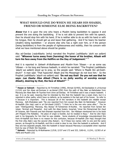#### **WHAT SHOULD ONE DO WHEN HE HEARS HIS SHAIKH, FRIEND OR SOMEONE ELSE BEING BACKBITTEN?**

**Know** that it is upon the one who hears a Muslim being backbitten to oppose it and prevent the one doing the backbiting. If he is not able to prevent him with his speech, then he should stop him with his hand. If he is neither able to do so with his hand or with his tongue, then he should get up and leave that gathering. And if he hears his teacher (shaikh) being backbitten – or anyone else who has a right over him, or if the person (being backbitten) is from the people of righteousness and nobility, then his concern with what we have mentioned above should be greater.

Abu ad-Dardaa (radyAllaahu 'anhu) narrated the Prophet (sallAllaahu 'alyhi wa sallam) said: **"Whoever turns away from (harming) the honor of his brother, Allaah will turn his face away from the Hellfire on the Day of Judgement."** <sup>33</sup>

And it is reported in *Saheeh Al-Bukhaaree* and *Muslim* from 'Itbaan – or as some say 'Utbaan – in his long and famous hadeeth, in which he narrated: "The Prophet (sallAllaahu 'alayhi wa sallam) stood up to pray, so the people said: 'Where is Maalik Ibn ad-Dukhshum?' A man said: 'That hypocrite! Allaah and His Messenger do not love him.' So the Prophet (sallAllaahu 'alayhi wa sallam) said: **'Do not say that! Do you not see that he says: Laa Ilaaha Illaa Allaah (There is no deity worthy of worship except Allaah), desiring by that, the face of Allaah?'**" 34

<sup>33</sup> **Hasan or Saheeh** – Reported by At-Tirmidhee (1996), Ahmad (6/450), Ad-Dawlaabee in al-Kunnaa  $(1/124)$  and Ibn Abee ad-Duniyaa in *as-Samat* (250) from the path of Abu Bakr an-Nahshalee from Marzooq Ibn Abee Bakr At-Taymee from Umm ad-Dardaa. At-Tirmidhee said it was a hasan hadeeth. I say: It is as he said, meaning that he intended by this that the hadeeth has a weak chain, but it is reported in other paths, which have no defects, as he explains in the last part of his Sunan. So refer to it because it is important. This is because all of the narrators in the hadeeth are reliable except Marzooq. Adh-Dhahabee said: "No one reported from him except Abu Bakr An-Nahshalee." However Al-Haafidh (Ibn Hajr) said in *at-Tah-theeb* (10/87): "I think he is the one who came after." The he said: "Distinguishing: Marzooq, Abu Bukayr At-Tameemee Al-Koofee. He reported from Sa'eed Ibn Jubair, 'Ikrimah and Mujaahid. And Laith Ibn Abee Sulaim, Israa'eel, 'Umar Ibn Muhammad Ibn Zayd Al-'Umaree, Ath-Thawree and Ash-Shareek reported from him. Ibn Hibbaan mentioned him in his book ath-Thiqaat (The Reliable). His place of origin is Koofah, but he resided in Rayy." And he (Ibn Hajr) said in his biography for him that he was reliable. Some students of knowledge misunderstand this from Al-Haafidh but there is no reason for this confusion, because Al-Haafidh (Ibn Hajr) thought that the first (Abu Bakr) was the second (Abu Bukair). So if these two names refer to one and the same person, as thought by Al-Haafidh, and this is what is clear to me, then the hadeeth is authentic. And if they are two separate people, then the hadeeth is hasan because Marzooq is acceptable when reported from by way of Shahr Ibn Haushab.

<sup>34</sup> **Saheeh** – Reported by Al-Bukhaaree (1/518, 2/157 and 172 and 323, 3/60-61, 11/241, 12/303 of al-Fath) and Muslim (33)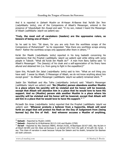And it is reported in *Saheeh Muslim* on Al-Hasan Al-Basree that 'Aa'idh Ibn 'Amr (radvAllaahu 'anhu'), one of the Companions of Allaah's Messenger, entered in the presence of 'Ubaydullaah Ibn Ziyaad and said: "O my son, indeed I heard the Messenger of Allaah (sallAllaahu 'alayhi wa sallam) say:

#### **'Truly, the most evil of caretakers (leaders) are the oppressive rulers, so beware of being one of them.'**"

So he said to him: "Sit down, for you are only from the worthless scraps of the Companions of Muhammad!" So he responded: "Was there any worthless scraps among them? Rather the worthless scraps only appeared after them in others." 35

Ka'ab Ibn Maalik (radyAllaahu 'anhu) reported in his long hadeeth concerning his repentance that the Prophet (sallAllaahu 'alayhi wa sallam) said while sitting with some people in Tabook: "What did Ka'ab Ibn Maalik do?" A man from Banu Salima said: "O Allaah's Messenger! The (beauty) of his cloak and a self-appreciation of his finery have allured and detained him (i.e. from going to fight in the expedition)!"

Upon this, Mu'aadh Ibn Jabal (radyAllaahu 'anhu) said to him: "What an evil thing you have said! I swear by Allaah, O Messenger of Allaah, we do not know anything about him except good." So Allaah's Messenger (*sallAllaahu 'alayhi wa sallam*) remained silent. <sup>36</sup>

Jaabir Ibn `Abdillaah and Abu Talha (radyAllaahu 'anhum) said: ``Allaah's Messenger (sallAllaahu 'alayhi wa sallam) said: **'No (Muslim) person abandons another Muslim in a place where his sanctity will be violated and his honor will be lowered, except that Allaah will abandon him in a place that he would love to have His support. And no (Muslim) person aids another Muslim in a place where his sanctity will be violated and his honor will be lowered, except that Allaah will aid him in a place that he would love to have His support.'"** <sup>37</sup>

Mu'aadh Ibn Anas (radyAllaahu 'anhu) reported that the Prophet (sallAllaahu 'alayhi wa sallam) said: "**Whoever protects a believer from a hypocrite, Allaah will send forth an angel that will protect his flesh on the Day of Judgement from (being burned by) the fire of Hell. And whoever accuses a Muslim of anything,** 

 $\overline{\phantom{a}}$ 

<sup>35</sup> **Saheeh** – Reported by Muslim (1830)

<sup>36</sup> **Saheeh** – Reported by Al-Bukhaaree (8/113-116) and Muslim (2769)

<sup>37</sup> **Da'eef** – Reported by Abu Dawood (4884), Ahmad (4/30), Al-Bayhaqee (8/167-168), Abu Nu'aim in al-Hilyah (8/189) and Ibn Abee ad-Duniyaa in as-Samat (241) from the path of Al-Laith Ibn Sa'ad. I say: This chain of narration is weak because Yahyaa Ibn Saleem and his shaikh, Ismaa'eel Ibn Basheer are both unknown.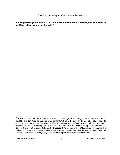**desiring to disgrace him, Allaah will withhold him over the bridge of the Hellfire until he takes back what he said."** <sup>38</sup>

 $\overline{\phantom{a}}$ 

<sup>38</sup> **Hasan** – Reported by Abu Dawood (4883), Ahmad (3/441), Al-Baghawee in Sharh As-Sunnah (13/105) and Ibn Abee ad-Duniyaa in  $as-Samat$  (248) from the path of Ibn Al-Mubaarak. I say: Its chain of narration is weak because Isma'eel Ibn Yahyaa al-Mi'aafaree is in it and he is unknown. However this hadeeth has supporting evidences that raise it to the level of being hasan (acceptable). Refer to them in at-Targheeb (515-520). **Important Note:** Our Shaikh (Al-Albaanee) mentioned this hadeeth in *Da'eef al-Jaami'-us-Sagheer* (5/193) as being weak, but then declared it *hasan* (later) in Saheeh Sunan Abee Dawood (4086). The last grading is what is correct so know this.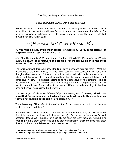#### **THE BACKBITING OF THE HEART**

**Know** that having bad thoughts about someone is forbidden just like having bad speech about him. So just as it is forbidden for you to speak to others about the defects of a person, it is likewise forbidden for you to speak to yourself about that and to hold bad thoughts for him. Allaah says:

يَتَأَيُّهَا ٱلَّذِينَ ءَامَنُواْ ٱجْتَنِبُواْ كَشِيرًا مِّنَ ٱلظَّنّ إِنَّ بَعُضَ ٱلظَّنّ إِثْمٌّ

**"O you who believe, avoid much (types) of suspicion. Verily some (forms) of suspicion is a sin."** [Surah Al-Hujuraat: 12]

And Abu Hurairah (radyAllaahu 'anhu) reported that Allaah's Messenger (sallAllaahu 'alayhi wa sallam) said: **"Beware of suspicion, for indeed suspicion is the most untruthful form of speech."** <sup>39</sup>

The *ahaadeeth* with this same understanding I have mentioned here are many. What the backbiting of the heart means, is: When the heart has firm conviction and holds bad thoughts about someone. But as for the notions that occasionally display in one's mind or when one talks to himself, then as long as these thoughts do not remain established and continuous in him, it is excused according to the consensus of the scholars. This is because he has no choice in the matter so as to stop it from occurring nor can he find any way to liberate himself from it when it does occur. This is the understanding of what has been authentically established (in the texts).

The Messenger of Allaah (sallAllaahu 'alayhi wa sallam) said: **"Indeed, Allaah has permitted for my ummah, that which their souls whisper to them, so long as they do not speak it out (audibly) or act upon it."** <sup>40</sup>

The scholars say: "This refers to the notions that form in one's mind, but do not become settled or established there."

And they said: "This is regardless if the notion consists of backbiting, disbelief or so on (i.e. it is pardoned, so long as it does not settle). So (for example) whoever's mind becomes flooded with thoughts of disbelief, but they are only thoughts, without him intending to have them carried out, and he then rids himself of these thoughts right after they occur, he is not a disbeliever nor is there any sin on him.

<sup>&</sup>lt;sup>39</sup> Saheeh – Reported by Al-Bukhaaree (10/484 of *al-Fath*) and Muslim (2563)

<sup>40</sup> **Saheeh** – Reported by Al-Bukhaaree (5/160 of al-Fath) and Muslim (127 and 202)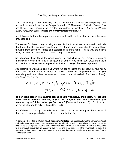We have already stated previously, in the chapter on the (internal) whisperings, the authentic hadeeth, in which the Companions said: "O Messenger of Allaah! Some of us find things in our thoughts that are too tremendous to speak of." So he (sallAllaahu 'alayhi wa sallam) said: **"That is the confirmation of Faith."** <sup>41</sup>

And this goes for the other reports we have mentioned in that chapter that bear the same understanding.

The reason for these thoughts being excused is due to what we have stated previously that these thoughts are impossible to prevent. Rather, one is only able to prevent those thoughts from becoming settled and established in one's mind. This is why the heart's being resolute and determined on these thoughts is forbidden.

So whenever these thoughts, which consist of backbiting or any other sin, present themselves in your mind, it is an obligation on you to repel them, turn away from them and mention some excuses or explanations that will change what seems apparent.

Abu Haamid Al-Ghazaalee said in Al-Ihyaa: "If bad thoughts should occur in your heart, then these are from the whisperings of the Devil, which he has placed in you. So you must deny and reject them because he is indeed the most wicked of evildoers (faasig). And Allaah has stated:

'**If a wicked person (i.e. faasiq) comes to you with news, then verify it, lest you harm people without realizing it (i.e. out of ignorance) and afterwards you become regretful for what you've done.'** [Surah Al-Hujuraat: 6]So it is not permissible for you to believe Iblees (the Devil).

And if there is some sign that indicates that he is corrupt, yet he implies the opposite of that, then it is not permissible to hold bad thoughts (for him).

<sup>41</sup> **Saheeh** – Reported by Muslim (132); **Translator's Note:** This hadeeth shows the Companions' zeal and enthusiasm in commanding themselves with good and forbidding themselves from evil, such that they would even fight against the evil notions that passed through their minds. But as it is impossible to prevent such thoughts from occurring every now and then, they asked the Prophet about this. His response to them meant that their trying to repel these thoughts showed their strong Eemaan (Faith) and love for good.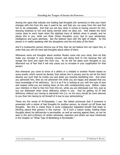Among the signs that indicate one holding bad thoughts (for someone) is that your heart changes with him from the way it used to be, and that you run away from him and find him to be unbearable. And that you are lazy when it comes to having concern for him, showing kindness to him and being worried when he does evil. And indeed the Devil comes close to one's heart when the slightest trace of defects show in people, and he places this in you, while you think (these thoughts) occur due to your astuteness, intelligence and quick alertness. But the believer sees with the light of Allaah. So this person is in reality speaking with the deceptions and the evil plots of the Devil.

And if a trustworthy person informs you of this, then do not believe him nor reject him, in order that you will not have bad thoughts about either of them.

Whenever some evil thoughts about another Muslim come into your mind, then let that make you increase in your showing concern and being kind to him because this will enrage the Devil and repel him from you. So he will not place such thoughts in you afterward out of fear that it will only cause you to increase in your supplication for that person.

And whenever you come to know of a defect or a mistake in another Muslim based on some proofs, which cannot be denied, then advise him in privacy and do not let the Devil deceive you such that he invites you and leads you towards backbiting him. And when you admonish him, then do not admonish him while you are happy and pleased that you have knowledge of his deficiency. So it is as if he is looking at you with the eyes of awe and respect while you are looking down at him with condescending eyes. Rather, make your intention in that to free him from this sin, while you are distressed over him, just as you are distressed when some deficiency enters in you. And his getting rid of that deficiency without you having to admonish him (i.e. on his own) should be more beloved to you than him having to rid himself of it due to your admonishing."

These are the words of Al-Ghazaalee. I say: We stated previously that if someone is presented with a notion of bad thoughts for another person, he should cut off those bad thoughts. But this is unless there is some (religiously) legislated benefit that leads to thinking (about that person) in this manner. So if such a reason exists, holding these thoughts about his deficiencies is permissible, as well as warning against them, as can be seen in the *jarh* (criticism) of certain witnesses, reporters and others we have mentioned in the Chapter on "What Type of Backbiting is Permissible."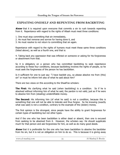#### **EXPIATING ONESELF AND REPENTING FROM BACKBITING**

**Know** that it is required upon everyone that commits a sin to rush towards repenting from it. Repentance with regard to the rights of Allaah must meet three conditions:

- 1. One must stop committing that sin immediately,
- 2. He must feel remorse and sorrow for having done it, and
- 3. He must resolve to not return to committing that sin again.

Repentance with regard to the rights of humans must meet these same three conditions (listed above), as well as a fourth one, and that is:

4. Taking back any oppression that was inflicted on someone or asking for his forgiveness or absolvment from that.

So it is obligatory on a person who has committed backbiting to seek repentance according to these four conditions, because backbiting involves the rights of people, so he must seek the forgiveness of the person he has backbitten.

Is it sufficient for one to just say: "I have backbit you, so please absolve me from (this) sin" or must he inform him also of what he said about him?

There are two views on this according to the Shaafi'ee scholars:

**The First:** His clarifying what he said (when backbiting) is a condition. So if he is absolved without informing him of what he said, the pardon is not valid, just as if he were to absolve him from (stealing) unidentifiable money.

**The Second:** His informing him (of what he said) is not a condition, because this is something that one will not be able to tolerate and thus forgive. So his knowing (exactly what was said) is not a condition, contrary to the example of the (stolen) money.

The first opinion is the strongest, since people have the ability to grant forgiveness for certain types of backbiting but not other types.

And if the one who has been backbitten is either dead or absent, then one is excused from seeking to be absolved from it. However, the scholars say: He should supplicate much for that person and ask forgiveness for him, as well as do many good deeds.

**Know** that it is preferable for the one who has been backbitten to absolve the backbiter from his sin, but it is not an obligation on him to do so. This is because it is giving away

| www.al-manhaj.com |  |
|-------------------|--|
|-------------------|--|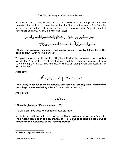and forfeiting one's right, so the choice is his. However, it is strongly recommended (*muta'akkidah*) for him to absolve him so that his Muslim brother can be free from the harm of this sin and so that he can be successful in receiving Allaah's great reward of Forgiveness and Love. Allaah, the Most High, says:

**"Those who repress their anger and pardon people. Verily, Allaah loves the good doers."** [Surah Aali 'Imraan: 134]

The proper way he should take in making himself allow the pardoning is by reminding himself that: "This matter has already happened and there is no way to remove it now. So it is not right for me to make him miss his chance of getting reward and absolving my Muslim brother."

Allaah says:

وَلَمَن صَبَرَ وَغَفَرَ إِنَّ ذَٰلِكَ لَمِنٌ عَزُم ٱلْأُمُّورِ

**"And verily, whosoever shows patience and forgives (others), that is truly from the things recommended by Allaah."** [Surah Ash-Shooraa: 43]

And He says:

خُذ ٱلْعَفَوَ

**"Show forgiveness!"** [Surah Al-A'araaf: 199]

The ayaat similar to what we mentioned above are many.

And in the authentic hadeeth, the Messenger of Allaah (sallAllaahu 'alayhi wa sallam) said: **"And Allaah remains in the assistance of (His) servant so long as the servant remains in the assistance of his (fellow) brother."** <sup>42</sup>

l

<sup>42</sup> **Saheeh** – Reported by Muslim (2699)

www.al-manhaj.com 32 Al-Manhaj E-Books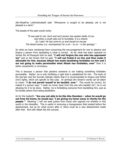Ash-Shaafi'ee (rahimahullaah) said: "Whosoever is sought to be pleased, yet is not pleased is a devil."

The people of the past would recite:

"It was said to me: Such and such person has spoken badly of you And when a youth sets out to humiliate, it is a shame So I said: He has come to us and issued an excuse The blood-money (i.e. recompense) for a sin – to us – is the apology."

So what we have mentioned here concerning the encouragement for one to absolve and forgive a person from backbiting is what is correct. As for what has been reported on Sa'eed Ibn Al-Musayyib that he said: **"I will not forgive the one who has oppressed me"** and on Ibn Sireen that he said: **"I will not forbid it on him and then make it allowable for him, because Allaah has made backbiting forbidden on him and I am not going to make permissible what Allaah has forbidden, ever"** then it is either unauthentic or erroneous.

This is because a person that pardons someone is not making something forbidden permissible. Rather, he is only forfeiting a right that is established for him. The texts of the Qur'aan and the Sunnah indicate clearly that it is recommended to forgive and forfeit one's rights, which are specific to this case. Or perhaps Ibn Sireen's words can be taken to mean: "**I do not permit myself to be backbit, ever."** This would be correct, for indeed if a person says: "I seek my honor back from the one who backbit me", he is not allowing for it to be done. Rather, he is forbidding everyone from backbiting him, just as he forbids others from being backbitten.

As for the hadeeth: **"Are you not able to be like Abu Damdam – when he would go out from his home, he would say: 'I am giving my honor away in charity for the people.'"** Meaning: I will not seek justice from those who oppress me whether in this world or the Hereafter. This is useful in removing a transgression that existed before the absolvement, but as for what occurs after it, there must be a new absolvement made after that. And with Allaah lies the success.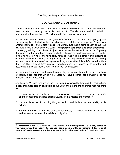#### **CONCERNING GOSSIPING**

We have already mentioned its prohibition as well as the evidences for that and what has been reported concerning the punishment for it. We also mentioned its definition, however all of this was brief. We will now add more to its explanation.

Imaam Abu Haamid Al-Ghazaalee (*rahimahullaah*) said: "For the most part, gossip (*nameemah*) is attributed to the one who takes the statement of a person (concerning another individual), and relates it back to that individual that is being spoken about. An example of this is when someone says: **'That person said such and such about you.'** However, gossiping is not limited to just this example, but rather its extent is: Exposing that which one hates to have exposed, whether the one he is relating from or the one he is relating the story to or the third party hates it. And it is the same if this exposing is done by speech or by writing or by gesturing, etc, and regardless whether what is being narrated relates to someone's sayings or actions, and whether it is a defect or other than that. So the reality of Gossiping is: Spreading what is supposed to be private, and destroying the concealment of what he hates to have exposed.

A person must keep quiet with regard to anything he sees (or hears) from the conditions of people, except for that which if he relates will have a benefit for a Muslim or it will prevent a sin from occurring."

And he said: "Anyone that has gossip (*nameemah*) conveyed to him, and it is said to him: **'Such and such person said this about you'**, then there are six things required from him:

- 1. He must not believe him because the one conveying the news is a gossiper (*namaam*), and the gossiper is a wicked person ( $faasiq$ ), so his reports are rejected.  $43$
- 2. He must forbid him from doing that, advise him and declare the detestability of his action.
- 3. He must hate him for the sake of Allaah, for indeed, he is hated in the sight of Allaah and hating for the sake of Allaah is an obligation.

<sup>43</sup> **Translator's Note** This is based on Allaah's saying: "**If a wicked person (i.e. faasiq) comes to you with news, then verify it, lest you harm people without realizing it (i.e. out of ignorance) and afterwards you become regretful for what you've done."** [Surah Al-Hujuraat: 6]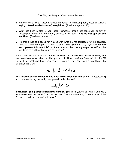- 4. He must not think evil thoughts about the person he is relating from, based on Allaah's saying: **'Avoid much (types of) suspicion.'** [Surah Al-Hujuraat: 12]
- 5. What has been related to you (about someone) should not cause you to spy or investigate further into the matter, because Allaah says: **'And do not spy on one another.'** [Surah Al-Hujuraat: 12]
- 6. He should not be pleased for himself with what he has forbidden for the gossiper. Thus he should not report the gossip that was conveyed to him by saying: **'Such and such person told me this'**, for then he would become a gossiper himself and he would be committing that which he forbade."

It has been reported that a man went to 'Umar Ibn 'Abd-il-'Azeez (rahimahullaah) and said something to him about another person. So 'Umar (rahimahullaah) said to him: "If you wish, we shall investigate your case. If you are lying, then you are from those who fall under the *avah*:

اِن جَاَءَ کُمُ فَاسِ ڏُ بِنَبَٳٍِ فَتَبَيَّئُوَّا
$$
\lfloor
$$

**'If a wicked person comes to you with news, then verify it'** [Surah Al-Hujuraat: 6] and if you are telling the truth, then you fall under the *ayah*:

**'Backbiter, going about spreading slander.'** [Surah Al-Qalam: 11] And if you wish, we can overlook the matter." So the man said: "Please overlook it, O Commander of the Believers! I will never mention it again."